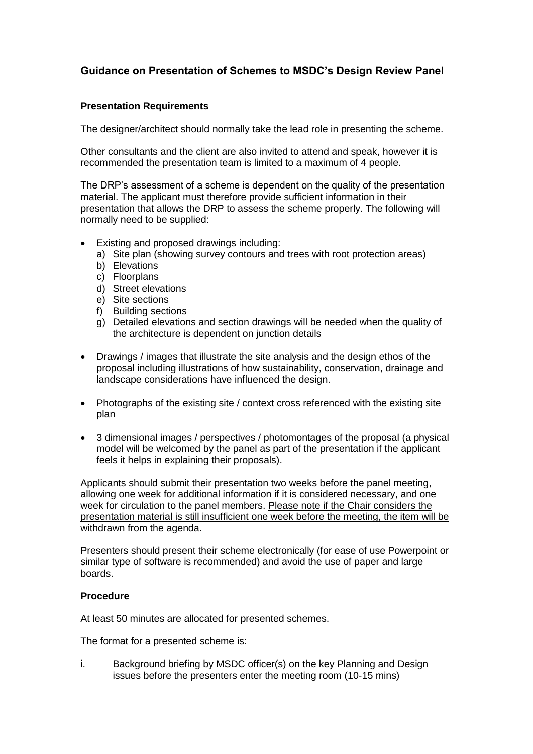## **Guidance on Presentation of Schemes to MSDC's Design Review Panel**

## **Presentation Requirements**

The designer/architect should normally take the lead role in presenting the scheme.

 Other consultants and the client are also invited to attend and speak, however it is recommended the presentation team is limited to a maximum of 4 people.

 The DRP's assessment of a scheme is dependent on the quality of the presentation material. The applicant must therefore provide sufficient information in their presentation that allows the DRP to assess the scheme properly. The following will normally need to be supplied:

- Existing and proposed drawings including:
	- a) Site plan (showing survey contours and trees with root protection areas)
	- b) Elevations
	- c) Floorplans
	- d) Street elevations
	- e) Site sections
	- f) Building sections
	- g) Detailed elevations and section drawings will be needed when the quality of the architecture is dependent on junction details
- Drawings / images that illustrate the site analysis and the design ethos of the proposal including illustrations of how sustainability, conservation, drainage and landscape considerations have influenced the design.
- Photographs of the existing site / context cross referenced with the existing site plan
- 3 dimensional images / perspectives / photomontages of the proposal (a physical model will be welcomed by the panel as part of the presentation if the applicant feels it helps in explaining their proposals).

 Applicants should submit their presentation two weeks before the panel meeting, allowing one week for additional information if it is considered necessary, and one week for circulation to the panel members. Please note if the Chair considers the presentation material is still insufficient one week before the meeting, the item will be withdrawn from the agenda.

 Presenters should present their scheme electronically (for ease of use Powerpoint or similar type of software is recommended) and avoid the use of paper and large boards.

## **Procedure**

At least 50 minutes are allocated for presented schemes.

The format for a presented scheme is:

 i. Background briefing by MSDC officer(s) on the key Planning and Design issues before the presenters enter the meeting room (10-15 mins)